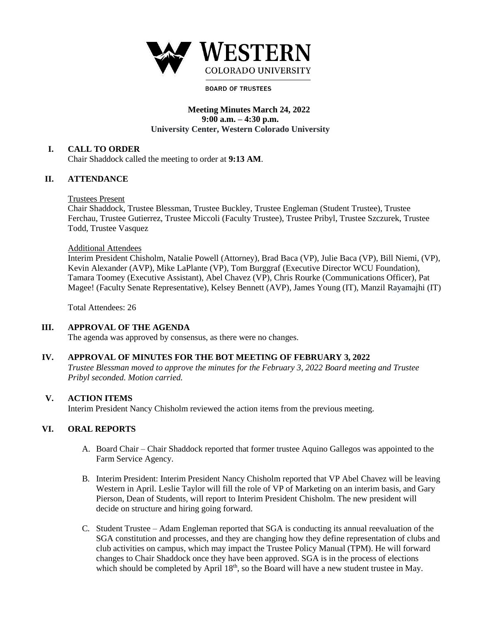

#### **BOARD OF TRUSTEES**

## **Meeting Minutes March 24, 2022 9:00 a.m. – 4:30 p.m. University Center, Western Colorado University**

#### **I. CALL TO ORDER**

Chair Shaddock called the meeting to order at **9:13 AM**.

## **II. ATTENDANCE**

#### Trustees Present

Chair Shaddock, Trustee Blessman, Trustee Buckley, Trustee Engleman (Student Trustee), Trustee Ferchau, Trustee Gutierrez, Trustee Miccoli (Faculty Trustee), Trustee Pribyl, Trustee Szczurek, Trustee Todd, Trustee Vasquez

#### Additional Attendees

Interim President Chisholm, Natalie Powell (Attorney), Brad Baca (VP), Julie Baca (VP), Bill Niemi, (VP), Kevin Alexander (AVP), Mike LaPlante (VP), Tom Burggraf (Executive Director WCU Foundation), Tamara Toomey (Executive Assistant), Abel Chavez (VP), Chris Rourke (Communications Officer), Pat Magee! (Faculty Senate Representative), Kelsey Bennett (AVP), James Young (IT), Manzil Rayamajhi (IT)

Total Attendees: 26

## **III. APPROVAL OF THE AGENDA**

The agenda was approved by consensus, as there were no changes.

## **IV. APPROVAL OF MINUTES FOR THE BOT MEETING OF FEBRUARY 3, 2022**

*Trustee Blessman moved to approve the minutes for the February 3, 2022 Board meeting and Trustee Pribyl seconded. Motion carried.* 

## **V. ACTION ITEMS**

Interim President Nancy Chisholm reviewed the action items from the previous meeting.

## **VI. ORAL REPORTS**

- A. Board Chair Chair Shaddock reported that former trustee Aquino Gallegos was appointed to the Farm Service Agency.
- B. Interim President: Interim President Nancy Chisholm reported that VP Abel Chavez will be leaving Western in April. Leslie Taylor will fill the role of VP of Marketing on an interim basis, and Gary Pierson, Dean of Students, will report to Interim President Chisholm. The new president will decide on structure and hiring going forward.
- C. Student Trustee Adam Engleman reported that SGA is conducting its annual reevaluation of the SGA constitution and processes, and they are changing how they define representation of clubs and club activities on campus, which may impact the Trustee Policy Manual (TPM). He will forward changes to Chair Shaddock once they have been approved. SGA is in the process of elections which should be completed by April  $18<sup>th</sup>$ , so the Board will have a new student trustee in May.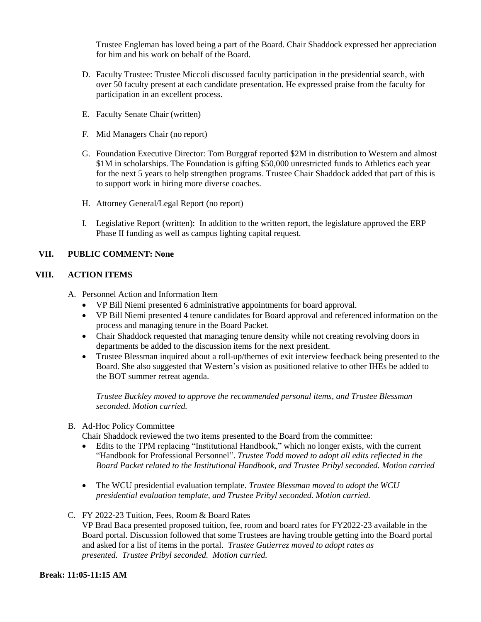Trustee Engleman has loved being a part of the Board. Chair Shaddock expressed her appreciation for him and his work on behalf of the Board.

- D. Faculty Trustee: Trustee Miccoli discussed faculty participation in the presidential search, with over 50 faculty present at each candidate presentation. He expressed praise from the faculty for participation in an excellent process.
- E. Faculty Senate Chair (written)
- F. Mid Managers Chair (no report)
- G. Foundation Executive Director: Tom Burggraf reported \$2M in distribution to Western and almost \$1M in scholarships. The Foundation is gifting \$50,000 unrestricted funds to Athletics each year for the next 5 years to help strengthen programs. Trustee Chair Shaddock added that part of this is to support work in hiring more diverse coaches.
- H. Attorney General/Legal Report (no report)
- I. Legislative Report (written): In addition to the written report, the legislature approved the ERP Phase II funding as well as campus lighting capital request.

## **VII. PUBLIC COMMENT: None**

## **VIII. ACTION ITEMS**

- A. Personnel Action and Information Item
	- VP Bill Niemi presented 6 administrative appointments for board approval.
	- VP Bill Niemi presented 4 tenure candidates for Board approval and referenced information on the process and managing tenure in the Board Packet.
	- Chair Shaddock requested that managing tenure density while not creating revolving doors in departments be added to the discussion items for the next president.
	- Trustee Blessman inquired about a roll-up/themes of exit interview feedback being presented to the Board. She also suggested that Western's vision as positioned relative to other IHEs be added to the BOT summer retreat agenda.

*Trustee Buckley moved to approve the recommended personal items, and Trustee Blessman seconded. Motion carried.* 

## B. Ad-Hoc Policy Committee

Chair Shaddock reviewed the two items presented to the Board from the committee:

- Edits to the TPM replacing "Institutional Handbook," which no longer exists, with the current "Handbook for Professional Personnel". *Trustee Todd moved to adopt all edits reflected in the Board Packet related to the Institutional Handbook, and Trustee Pribyl seconded. Motion carried*
- The WCU presidential evaluation template. *Trustee Blessman moved to adopt the WCU presidential evaluation template, and Trustee Pribyl seconded. Motion carried.*
- C. FY 2022-23 Tuition, Fees, Room & Board Rates VP Brad Baca presented proposed tuition, fee, room and board rates for FY2022-23 available in the Board portal. Discussion followed that some Trustees are having trouble getting into the Board portal and asked for a list of items in the portal. *Trustee Gutierrez moved to adopt rates as presented. Trustee Pribyl seconded. Motion carried.*